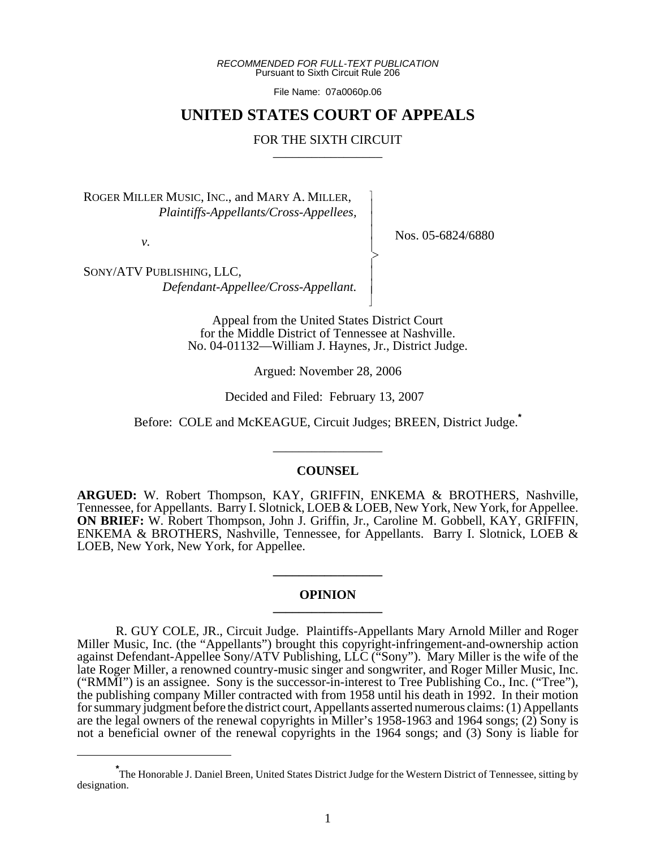*RECOMMENDED FOR FULL-TEXT PUBLICATION* Pursuant to Sixth Circuit Rule 206

File Name: 07a0060p.06

# **UNITED STATES COURT OF APPEALS**

## FOR THE SIXTH CIRCUIT

 $\overline{\phantom{a}}$ - - - -  $\succ$ |<br>|<br>| - - N

ROGER MILLER MUSIC, INC., and MARY A. MILLER, *Plaintiffs-Appellants/Cross-Appellees,*

*v.*

Nos. 05-6824/6880

SONY/ATV PUBLISHING, LLC, *Defendant-Appellee/Cross-Appellant.*

> Appeal from the United States District Court for the Middle District of Tennessee at Nashville. No. 04-01132—William J. Haynes, Jr., District Judge.

> > Argued: November 28, 2006

Decided and Filed: February 13, 2007

Before: COLE and McKEAGUE, Circuit Judges; BREEN, District Judge.**\***

\_\_\_\_\_\_\_\_\_\_\_\_\_\_\_\_\_

## **COUNSEL**

**ARGUED:** W. Robert Thompson, KAY, GRIFFIN, ENKEMA & BROTHERS, Nashville, Tennessee, for Appellants. Barry I. Slotnick, LOEB & LOEB, New York, New York, for Appellee. **ON BRIEF:** W. Robert Thompson, John J. Griffin, Jr., Caroline M. Gobbell, KAY, GRIFFIN, ENKEMA & BROTHERS, Nashville, Tennessee, for Appellants. Barry I. Slotnick, LOEB & LOEB, New York, New York, for Appellee.

### **OPINION \_\_\_\_\_\_\_\_\_\_\_\_\_\_\_\_\_**

**\_\_\_\_\_\_\_\_\_\_\_\_\_\_\_\_\_**

R. GUY COLE, JR., Circuit Judge. Plaintiffs-Appellants Mary Arnold Miller and Roger Miller Music, Inc. (the "Appellants") brought this copyright-infringement-and-ownership action against Defendant-Appellee Sony/ATV Publishing, LLC ("Sony"). Mary Miller is the wife of the late Roger Miller, a renowned country-music singer and songwriter, and Roger Miller Music, Inc. ("RMMI") is an assignee. Sony is the successor-in-interest to Tree Publishing Co., Inc. ("Tree"), the publishing company Miller contracted with from 1958 until his death in 1992. In their motion for summary judgment before the district court, Appellants asserted numerous claims: (1) Appellants are the legal owners of the renewal copyrights in Miller's 1958-1963 and 1964 songs; (2) Sony is not a beneficial owner of the renewal copyrights in the 1964 songs; and (3) Sony is liable for

**<sup>\*</sup>** The Honorable J. Daniel Breen, United States District Judge for the Western District of Tennessee, sitting by designation.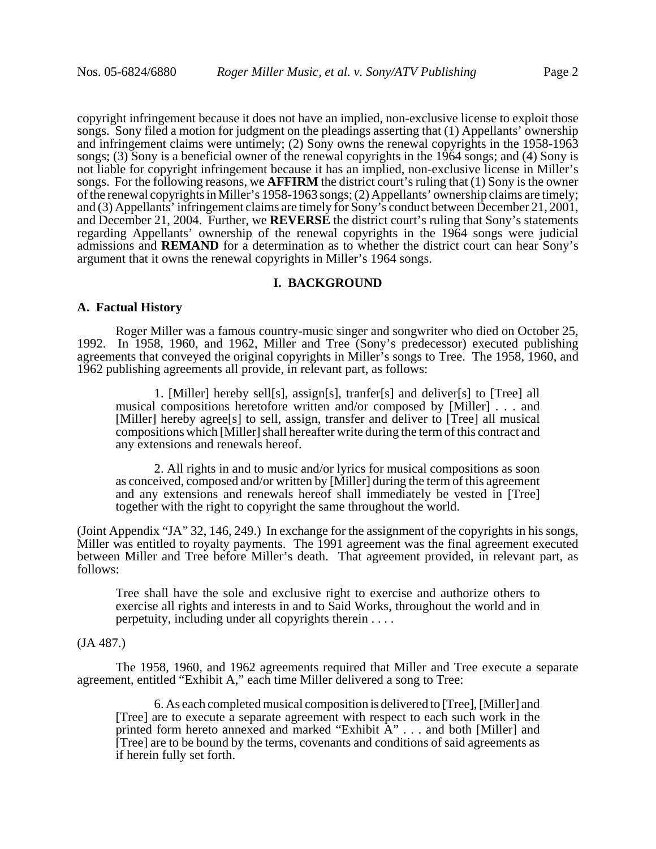copyright infringement because it does not have an implied, non-exclusive license to exploit those songs. Sony filed a motion for judgment on the pleadings asserting that (1) Appellants' ownership and infringement claims were untimely; (2) Sony owns the renewal copyrights in the 1958-1963 songs; (3) Sony is a beneficial owner of the renewal copyrights in the 1964 songs; and (4) Sony is not liable for copyright infringement because it has an implied, non-exclusive license in Miller's songs. For the following reasons, we **AFFIRM** the district court's ruling that (1) Sony is the owner of the renewal copyrights in Miller's 1958-1963 songs; (2) Appellants' ownership claims are timely; and (3) Appellants' infringement claims are timely for Sony's conduct between December 21, 2001, and December 21, 2004. Further, we **REVERSE** the district court's ruling that Sony's statements regarding Appellants' ownership of the renewal copyrights in the 1964 songs were judicial admissions and **REMAND** for a determination as to whether the district court can hear Sony's argument that it owns the renewal copyrights in Miller's 1964 songs.

## **I. BACKGROUND**

## **A. Factual History**

Roger Miller was a famous country-music singer and songwriter who died on October 25, 1992. In 1958, 1960, and 1962, Miller and Tree (Sony's predecessor) executed publishing agreements that conveyed the original copyrights in Miller's songs to Tree. The 1958, 1960, and 1962 publishing agreements all provide, in relevant part, as follows:

1. [Miller] hereby sell[s], assign[s], tranfer[s] and deliver[s] to [Tree] all musical compositions heretofore written and/or composed by [Miller] . . . and [Miller] hereby agree[s] to sell, assign, transfer and deliver to [Tree] all musical compositions which [Miller] shall hereafter write during the term of this contract and any extensions and renewals hereof.

2. All rights in and to music and/or lyrics for musical compositions as soon as conceived, composed and/or written by [Miller] during the term of this agreement and any extensions and renewals hereof shall immediately be vested in [Tree] together with the right to copyright the same throughout the world.

(Joint Appendix "JA" 32, 146, 249.) In exchange for the assignment of the copyrights in his songs, Miller was entitled to royalty payments. The 1991 agreement was the final agreement executed between Miller and Tree before Miller's death. That agreement provided, in relevant part, as follows:

Tree shall have the sole and exclusive right to exercise and authorize others to exercise all rights and interests in and to Said Works, throughout the world and in perpetuity, including under all copyrights therein . . . .

## (JA 487.)

The 1958, 1960, and 1962 agreements required that Miller and Tree execute a separate agreement, entitled "Exhibit A," each time Miller delivered a song to Tree:

6. As each completed musical composition is delivered to [Tree], [Miller] and [Tree] are to execute a separate agreement with respect to each such work in the printed form hereto annexed and marked "Exhibit A" . . . and both [Miller] and [Tree] are to be bound by the terms, covenants and conditions of said agreements as if herein fully set forth.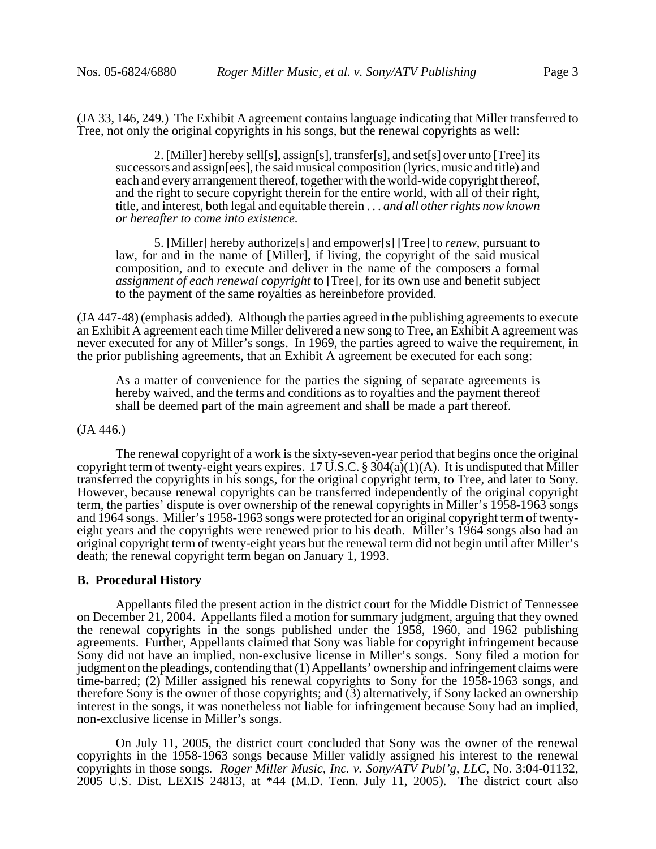(JA 33, 146, 249.) The Exhibit A agreement contains language indicating that Miller transferred to Tree, not only the original copyrights in his songs, but the renewal copyrights as well:

2. [Miller] hereby sell[s], assign[s], transfer[s], and set[s] over unto [Tree] its successors and assign[ees], the said musical composition (lyrics, music and title) and each and every arrangement thereof, together with the world-wide copyright thereof, and the right to secure copyright therein for the entire world, with all of their right, title, and interest, both legal and equitable therein . . . *and all other rights now known or hereafter to come into existence.*

5. [Miller] hereby authorize[s] and empower[s] [Tree] to *renew*, pursuant to law, for and in the name of [Miller], if living, the copyright of the said musical composition, and to execute and deliver in the name of the composers a formal *assignment of each renewal copyright* to [Tree], for its own use and benefit subject to the payment of the same royalties as hereinbefore provided.

(JA 447-48) (emphasis added). Although the parties agreed in the publishing agreements to execute an Exhibit A agreement each time Miller delivered a new song to Tree, an Exhibit A agreement was never executed for any of Miller's songs. In 1969, the parties agreed to waive the requirement, in the prior publishing agreements, that an Exhibit A agreement be executed for each song:

As a matter of convenience for the parties the signing of separate agreements is hereby waived, and the terms and conditions as to royalties and the payment thereof shall be deemed part of the main agreement and shall be made a part thereof.

#### (JA 446.)

The renewal copyright of a work is the sixty-seven-year period that begins once the original copyright term of twenty-eight years expires. 17 U.S.C. § 304(a)(1)(A). It is undisputed that Miller transferred the copyrights in his songs, for the original copyright term, to Tree, and later to Sony. However, because renewal copyrights can be transferred independently of the original copyright term, the parties' dispute is over ownership of the renewal copyrights in Miller's 1958-1963 songs and 1964 songs. Miller's 1958-1963 songs were protected for an original copyright term of twentyeight years and the copyrights were renewed prior to his death. Miller's 1964 songs also had an original copyright term of twenty-eight years but the renewal term did not begin until after Miller's death; the renewal copyright term began on January 1, 1993.

### **B. Procedural History**

Appellants filed the present action in the district court for the Middle District of Tennessee on December 21, 2004. Appellants filed a motion for summary judgment, arguing that they owned the renewal copyrights in the songs published under the 1958, 1960, and 1962 publishing agreements. Further, Appellants claimed that Sony was liable for copyright infringement because Sony did not have an implied, non-exclusive license in Miller's songs. Sony filed a motion for judgment on the pleadings, contending that (1) Appellants' ownership and infringement claims were time-barred; (2) Miller assigned his renewal copyrights to Sony for the 1958-1963 songs, and therefore Sony is the owner of those copyrights; and (3) alternatively, if Sony lacked an ownership interest in the songs, it was nonetheless not liable for infringement because Sony had an implied, non-exclusive license in Miller's songs.

On July 11, 2005, the district court concluded that Sony was the owner of the renewal copyrights in the 1958-1963 songs because Miller validly assigned his interest to the renewal copyrights in those songs*. Roger Miller Music, Inc. v. Sony/ATV Publ'g, LLC*, No. 3:04-01132, 2005 U.S. Dist. LEXIS 24813, at \*44 (M.D. Tenn. July 11, 2005). The district court also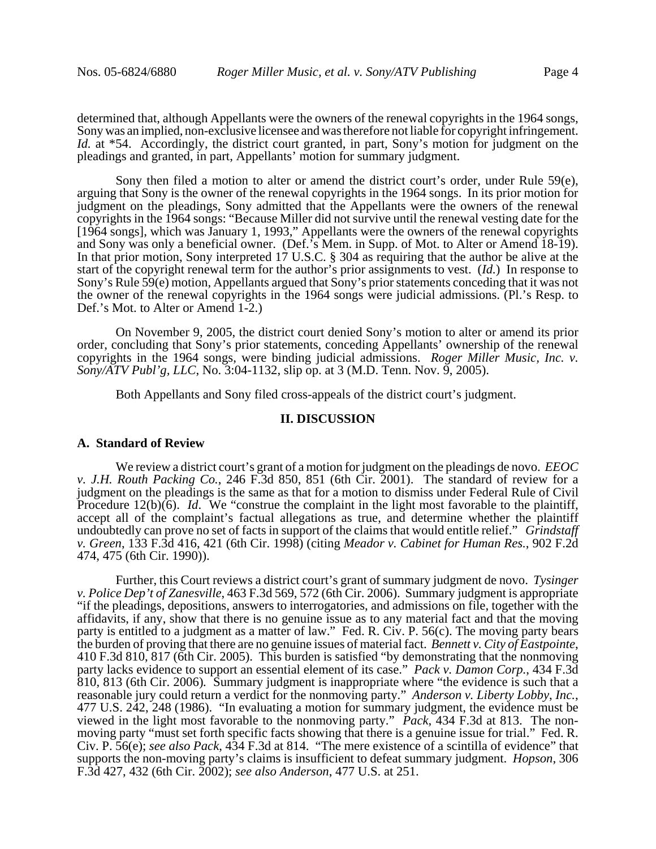determined that, although Appellants were the owners of the renewal copyrights in the 1964 songs, Sony was an implied, non-exclusive licensee and was therefore not liable for copyright infringement. *Id.* at \*54. Accordingly, the district court granted, in part, Sony's motion for judgment on the pleadings and granted, in part, Appellants' motion for summary judgment.

Sony then filed a motion to alter or amend the district court's order, under Rule 59(e), arguing that Sony is the owner of the renewal copyrights in the 1964 songs. In its prior motion for judgment on the pleadings, Sony admitted that the Appellants were the owners of the renewal copyrights in the 1964 songs: "Because Miller did not survive until the renewal vesting date for the [1964 songs], which was January 1, 1993," Appellants were the owners of the renewal copyrights and Sony was only a beneficial owner. (Def.'s Mem. in Supp. of Mot. to Alter or Amend 18-19). In that prior motion, Sony interpreted 17 U.S.C. § 304 as requiring that the author be alive at the start of the copyright renewal term for the author's prior assignments to vest. (*Id.*) In response to Sony's Rule 59(e) motion, Appellants argued that Sony's prior statements conceding that it was not the owner of the renewal copyrights in the 1964 songs were judicial admissions. (Pl.'s Resp. to Def.'s Mot. to Alter or Amend 1-2.)

On November 9, 2005, the district court denied Sony's motion to alter or amend its prior order, concluding that Sony's prior statements, conceding Appellants' ownership of the renewal copyrights in the 1964 songs, were binding judicial admissions. *Roger Miller Music, Inc. v. Sony/ATV Publ'g, LLC*, No. 3:04-1132, slip op. at 3 (M.D. Tenn. Nov. 9, 2005).

Both Appellants and Sony filed cross-appeals of the district court's judgment.

#### **II. DISCUSSION**

#### **A. Standard of Review**

We review a district court's grant of a motion for judgment on the pleadings de novo. *EEOC v. J.H. Routh Packing Co.*, 246 F.3d 850, 851 (6th Cir. 2001). The standard of review for a judgment on the pleadings is the same as that for a motion to dismiss under Federal Rule of Civil Procedure 12(b)(6). *Id*. We "construe the complaint in the light most favorable to the plaintiff, accept all of the complaint's factual allegations as true, and determine whether the plaintiff undoubtedly can prove no set of facts in support of the claims that would entitle relief." *Grindstaff v. Green*, 133 F.3d 416, 421 (6th Cir. 1998) (citing *Meador v. Cabinet for Human Res.*, 902 F.2d 474, 475 (6th Cir. 1990)).

Further, this Court reviews a district court's grant of summary judgment de novo. *Tysinger v. Police Dep't of Zanesville*, 463 F.3d 569, 572 (6th Cir. 2006). Summary judgment is appropriate "if the pleadings, depositions, answers to interrogatories, and admissions on file, together with the affidavits, if any, show that there is no genuine issue as to any material fact and that the moving party is entitled to a judgment as a matter of law." Fed. R. Civ. P. 56(c). The moving party bears the burden of proving that there are no genuine issues of material fact. *Bennett v. City of Eastpointe*, the burden of proving that there are no genuine issues of material fact. *Bennett v. City of Eastpointe*, 410 F.3d 810, 817 (6th Cir. 2005). This burden is satisfied "by demonstrating that the nonmoving party lacks evidence to support an essential element of its case." *Pack v. Damon Corp.*, 434 F.3d 810, 813 (6th Cir. 2006). Summary judgment is inappropriate where "the evidence is such that a reasonable jury could return a verdict for the nonmoving party." *Anderson v. Liberty Lobby, Inc.,* reasonable jury could return a verdict for the nonmoving party." *Anderson v. Liberty Lobby*, *Inc.*, 477 U.S. 242, 248 (1986). "In evaluating a motion for summary judgment, the evidence must be viewed in the light most favorable to the nonmoving party." *Pack*, 434 F.3d at 813. The nonmoving party "must set forth specific facts showing that there is a genuine issue for trial." Fed. R. Civ. P. 56(e); *see also Pack*, 434 F.3d at 814. "The mere existence of a scintilla of evidence" that supports the non-moving party's claims is insufficient to defeat summary judgment. *Hopson*, 306 F.3d 427, 432 (6th Cir. 2002); *see also Anderson*, 477 U.S. at 251.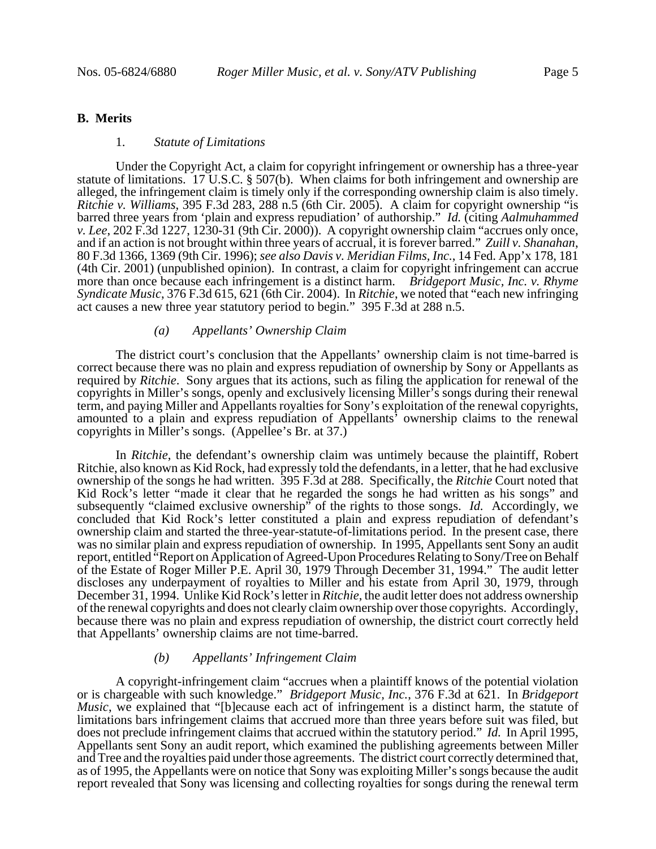### **B. Merits**

#### 1. *Statute of Limitations*

Under the Copyright Act, a claim for copyright infringement or ownership has a three-year statute of limitations. 17 U.S.C. § 507(b). When claims for both infringement and ownership are alleged, the infringement claim is timely only if the corresponding ownership claim is also timely. *Ritchie v. Williams*, 395 F.3d 283, 288 n.5 (6th Cir. 2005). A claim for copyright ownership "is barred three years from 'plain and express repudiation' of authorship." *Id.* (citing *Aalmuhammed v. Lee*, 202 F.3d 1227, 1230-31 (9th Cir. 2000)). A copyright ownership claim "accrues only once, and if an action is not brought within three years of accrual, it is forever barred." *Zuill v. Shanahan*, 80 F.3d 1366, 1369 (9th Cir. 1996); *see also Davis v. Meridian Films, Inc.*, 14 Fed. App'x 178, 181 (4th Cir. 2001) (unpublished opinion). In contrast, a claim for copyright infringement can accrue more than once because each infringement is a distinct harm. *Bridgeport Music, Inc. v. Rhyme Syndicate Music*, 376 F.3d 615, 621 (6th Cir. 2004). In *Ritchie*, we noted that "each new infringing act causes a new three year statutory period to begin." 395 F.3d at 288 n.5.

#### *(a) Appellants' Ownership Claim*

The district court's conclusion that the Appellants' ownership claim is not time-barred is correct because there was no plain and express repudiation of ownership by Sony or Appellants as required by *Ritchie*. Sony argues that its actions, such as filing the application for renewal of the copyrights in Miller's songs, openly and exclusively licensing Miller's songs during their renewal term, and paying Miller and Appellants royalties for Sony's exploitation of the renewal copyrights, amounted to a plain and express repudiation of Appellants' ownership claims to the renewal copyrights in Miller's songs. (Appellee's Br. at 37.)

In *Ritchie*, the defendant's ownership claim was untimely because the plaintiff, Robert Ritchie, also known as Kid Rock, had expressly told the defendants, in a letter, that he had exclusive ownership of the songs he had written. 395 F.3d at 288. Specifically, the *Ritchie* Court noted that Kid Rock's letter "made it clear that he regarded the songs he had written as his songs" and subsequently "claimed exclusive ownership" of the rights to those songs. *Id.* Accordingly, we concluded that Kid Rock's letter constituted a plain and express repudiation of defendant's ownership claim and started the three-year-statute-of-limitations period. In the present case, there was no similar plain and express repudiation of ownership. In 1995, Appellants sent Sony an audit report, entitled "Report on Application of Agreed-Upon Procedures Relating to Sony/Tree on Behalf of the Estate of Roger Miller P.E. April 30, 1979 Through December 31, 1994." The audit letter discloses any underpayment of royalties to Miller and his estate from April 30, 1979, through December 31, 1994. Unlike Kid Rock's letter in *Ritchie*, the audit letter does not address ownership of the renewal copyrights and does not clearly claim ownership over those copyrights. Accordingly, because there was no plain and express repudiation of ownership, the district court correctly held that Appellants' ownership claims are not time-barred.

## *(b) Appellants' Infringement Claim*

A copyright-infringement claim "accrues when a plaintiff knows of the potential violation or is chargeable with such knowledge." *Bridgeport Music, Inc.*, 376 F.3d at 621. In *Bridgeport Music*, we explained that "[b]ecause each act of infringement is a distinct harm, the statute of limitations bars infringement claims that accrued more than three years before suit was filed, but does not preclude infringement claims that accrued within the statutory period." *Id.* In April 1995, Appellants sent Sony an audit report, which examined the publishing agreements between Miller and Tree and the royalties paid under those agreements. The district court correctly determined that, as of 1995, the Appellants were on notice that Sony was exploiting Miller's songs because the audit report revealed that Sony was licensing and collecting royalties for songs during the renewal term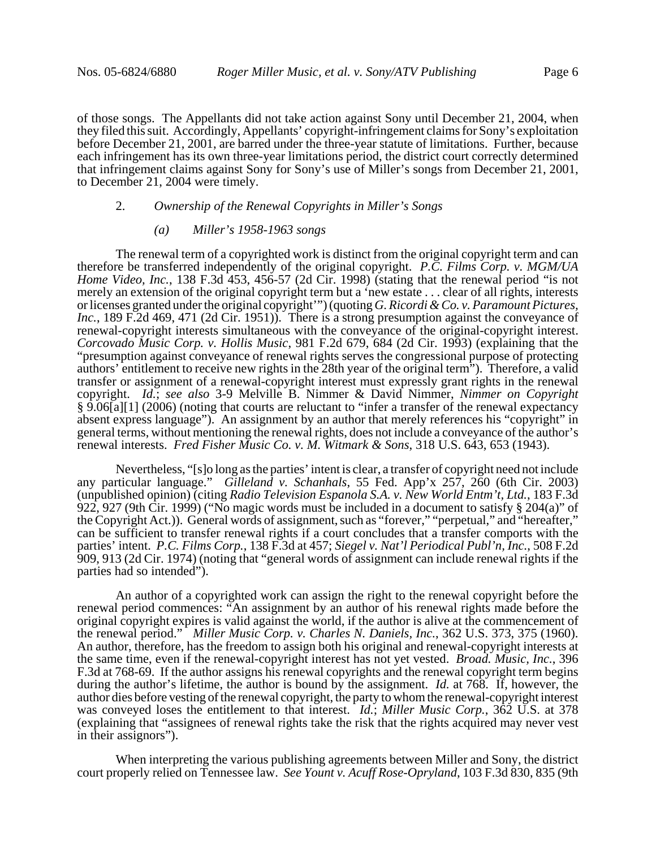of those songs. The Appellants did not take action against Sony until December 21, 2004, when they filed this suit. Accordingly, Appellants' copyright-infringement claims for Sony's exploitation before December 21, 2001, are barred under the three-year statute of limitations. Further, because each infringement has its own three-year limitations period, the district court correctly determined that infringement claims against Sony for Sony's use of Miller's songs from December 21, 2001, to December 21, 2004 were timely.

## 2. *Ownership of the Renewal Copyrights in Miller's Songs*

## *(a) Miller's 1958-1963 songs*

The renewal term of a copyrighted work is distinct from the original copyright term and can therefore be transferred independently of the original copyright. *P.C. Films Corp. v. MGM/UA Home Video, Inc.*, 138 F.3d 453, 456-57 (2d Cir. 1998) (stating that the renewal period "is not merely an extension of the original copyright term but a 'new estate . . . clear of all rights, interests or licenses granted under the original copyright'") (quoting *G. Ricordi & Co. v. Paramount Pictures, Inc.*, 189 F.2d 469, 471 (2d Cir. 1951)). There is a strong presumption against the conveyance of renewal-copyright interests simultaneous with the conveyance of the original-copyright interest. *Corcovado Music Corp. v. Hollis Music*, 981 F.2d 679, 684 (2d Cir. 1993) (explaining that the "presumption against conveyance of renewal rights serves the congressional purpose of protecting authors' entitlement to receive new rights in the 28th year of the original term"). Therefore, a valid transfer or assignment of a renewal-copyright interest must expressly grant rights in the renewal copyright. *Id.*; *see also* 3-9 Melville B. Nimmer & David Nimmer, *Nimmer on Copyright* § 9.06[a][1] (2006) (noting that courts are reluctant to "infer a transfer of the renewal expectancy absent express language"). An assignment by an author that merely references his "copyright" in general terms, without mentioning the renewal rights, does not include a conveyance of the author's renewal interests. *Fred Fisher Music Co. v. M. Witmark & Sons*, 318 U.S. 643, 653 (1943).

Nevertheless, "[s]o long as the parties' intent is clear, a transfer of copyright need not include any particular language." *Gilleland v. Schanhals*, 55 Fed. App'x 257, 260 (6th Cir. 2003) (unpublished opinion) (citing *Radio Television Espanola S.A. v. New World Entm't, Ltd.*, 183 F.3d 922, 927 (9th Cir. 1999) ("No magic words must be included in a document to satisfy § 204(a)" of the Copyright Act.)). General words of assignment, such as "forever," "perpetual," and "hereafter," can be sufficient to transfer renewal rights if a court concludes that a transfer comports with the parties' intent. *P.C. Films Corp.*, 138 F.3d at 457; *Siegel v. Nat'l Periodical Publ'n, Inc.*, 508 F.2d 909, 913 (2d Cir. 1974) (noting that "general words of assignment can include renewal rights if the parties had so intended").

An author of a copyrighted work can assign the right to the renewal copyright before the renewal period commences: "An assignment by an author of his renewal rights made before the original copyright expires is valid against the world, if the author is alive at the commencement of the renewal period." *Miller Music Corp. v. Charles N. Daniels, Inc.*, 362 U.S. 373, 375 (1960). An author, therefore, has the freedom to assign both his original and renewal-copyright interests at the same time, even if the renewal-copyright interest has not yet vested. *Broad. Music, Inc.*, 396 F.3d at 768-69. If the author assigns his renewal copyrights and the renewal copyright term begins during the author's lifetime, the author is bound by the assignment. *Id.* at 768. If, however, the author dies before vesting of the renewal copyright, the party to whom the renewal-copyright interest was conveyed loses the entitlement to that interest. *Id.*; *Miller Music Corp.*, 362 U.S. at 378 (explaining that "assignees of renewal rights take the risk that the rights acquired may never vest in their assignors").

When interpreting the various publishing agreements between Miller and Sony, the district court properly relied on Tennessee law. *See Yount v. Acuff Rose-Opryland*, 103 F.3d 830, 835 (9th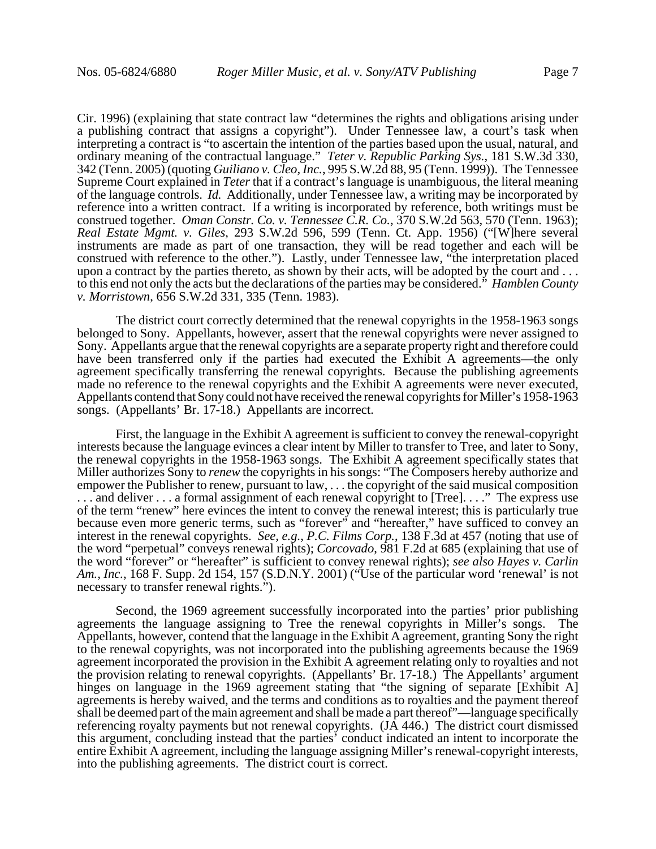Cir. 1996) (explaining that state contract law "determines the rights and obligations arising under a publishing contract that assigns a copyright"). Under Tennessee law, a court's task when interpreting a contract is "to ascertain the intention of the parties based upon the usual, natural, and ordinary meaning of the contractual language." *Teter v. Republic Parking Sys.*, 181 S.W.3d 330, 342 (Tenn. 2005) (quoting *Guiliano v. Cleo, Inc.*, 995 S.W.2d 88, 95 (Tenn. 1999)). The Tennessee Supreme Court explained in *Teter* that if a contract's language is unambiguous, the literal meaning of the language controls. *Id.* Additionally, under Tennessee law, a writing may be incorporated by reference into a written contract. If a writing is incorporated by reference, both writings must be construed together. *Oman Constr. Co. v. Tennessee C.R. Co.*, 370 S.W.2d 563, 570 (Tenn. 1963); *Real Estate Mgmt. v. Giles*, 293 S.W.2d 596, 599 (Tenn. Ct. App. 1956) ("[W]here several instruments are made as part of one transaction, they will be read together and each will be construed with reference to the other."). Lastly, under Tennessee law, "the interpretation placed upon a contract by the parties thereto, as shown by their acts, will be adopted by the court and . . . to this end not only the acts but the declarations of the parties may be considered." *Hamblen County v. Morristown*, 656 S.W.2d 331, 335 (Tenn. 1983).

The district court correctly determined that the renewal copyrights in the 1958-1963 songs belonged to Sony. Appellants, however, assert that the renewal copyrights were never assigned to Sony. Appellants argue that the renewal copyrights are a separate property right and therefore could have been transferred only if the parties had executed the Exhibit A agreements—the only agreement specifically transferring the renewal copyrights. Because the publishing agreements made no reference to the renewal copyrights and the Exhibit A agreements were never executed, Appellants contend that Sony could not have received the renewal copyrights for Miller's 1958-1963 songs. (Appellants' Br. 17-18.) Appellants are incorrect.

First, the language in the Exhibit A agreement is sufficient to convey the renewal-copyright interests because the language evinces a clear intent by Miller to transfer to Tree, and later to Sony, the renewal copyrights in the 1958-1963 songs. The Exhibit A agreement specifically states that Miller authorizes Sony to *renew* the copyrights in his songs: "The Composers hereby authorize and empower the Publisher to renew, pursuant to law, . . . the copyright of the said musical composition . . . and deliver . . . a formal assignment of each renewal copyright to [Tree]. . . ." The express use of the term "renew" here evinces the intent to convey the renewal interest; this is particularly true because even more generic terms, such as "forever" and "hereafter," have sufficed to convey an interest in the renewal copyrights. *See, e.g.*, *P.C. Films Corp.*, 138 F.3d at 457 (noting that use of the word "perpetual" conveys renewal rights); *Corcovado*, 981 F.2d at 685 (explaining that use of the word "forever" or "hereafter" is sufficient to convey renewal rights); *see also Hayes v. Carlin Am., Inc.*, 168 F. Supp. 2d 154, 157 (S.D.N.Y. 2001) ("Use of the particular word 'renewal' is not necessary to transfer renewal rights.").

Second, the 1969 agreement successfully incorporated into the parties' prior publishing agreements the language assigning to Tree the renewal copyrights in Miller's songs. The Appellants, however, contend that the language in the Exhibit A agreement, granting Sony the right to the renewal copyrights, was not incorporated into the publishing agreements because the 1969 agreement incorporated the provision in the Exhibit A agreement relating only to royalties and not the provision relating to renewal copyrights. (Appellants' Br. 17-18.) The Appellants' argument hinges on language in the 1969 agreement stating that "the signing of separate [Exhibit A] agreements is hereby waived, and the terms and conditions as to royalties and the payment thereof shall be deemed part of the main agreement and shall be made a part thereof"—language specifically referencing royalty payments but not renewal copyrights. (JA 446.) The district court dismissed this argument, concluding instead that the parties' conduct indicated an intent to incorporate the entire Exhibit A agreement, including the language assigning Miller's renewal-copyright interests, into the publishing agreements. The district court is correct.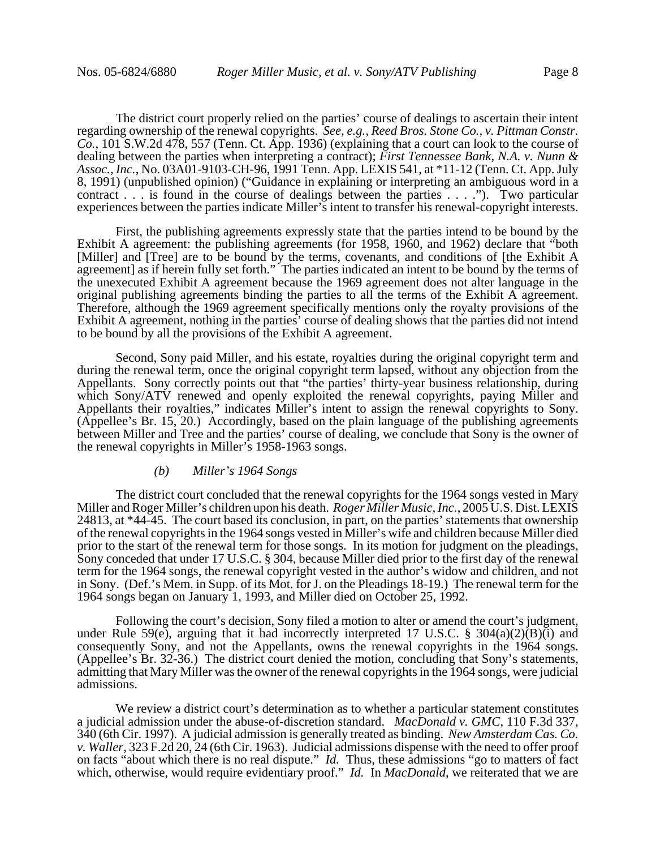The district court properly relied on the parties' course of dealings to ascertain their intent regarding ownership of the renewal copyrights. *See, e.g., Reed Bros. Stone Co., v. Pittman Constr. Co.*, 101 S.W.2d 478, 557 (Tenn. Ct. App. 1936) (explaining that a court can look to the course of dealing between the parties when interpreting a contract); *First Tennessee Bank, N.A. v. Nunn & Assoc., Inc.*, No. 03A01-9103-CH-96, 1991 Tenn. App. LEXIS 541, at \*11-12 (Tenn. Ct. App. July 8, 1991) (unpublished opinion) ("Guidance in explaining or interpreting an ambiguous word in a contract . . . is found in the course of dealings between the parties . . . ."). Two particular experiences between the parties indicate Miller's intent to transfer his renewal-copyright interests.

First, the publishing agreements expressly state that the parties intend to be bound by the Exhibit A agreement: the publishing agreements (for 1958, 1960, and 1962) declare that "both [Miller] and [Tree] are to be bound by the terms, covenants, and conditions of [the Exhibit A agreement] as if herein fully set forth." The parties indicated an intent to be bound by the terms of the unexecuted Exhibit A agreement because the 1969 agreement does not alter language in the original publishing agreements binding the parties to all the terms of the Exhibit A agreement. Therefore, although the 1969 agreement specifically mentions only the royalty provisions of the Exhibit A agreement, nothing in the parties' course of dealing shows that the parties did not intend to be bound by all the provisions of the Exhibit A agreement.

Second, Sony paid Miller, and his estate, royalties during the original copyright term and during the renewal term, once the original copyright term lapsed, without any objection from the Appellants. Sony correctly points out that "the parties' thirty-year business relationship, during which Sony/ATV renewed and openly exploited the renewal copyrights, paying Miller and Appellants their royalties," indicates Miller's intent to assign the renewal copyrights to Sony. (Appellee's Br. 15, 20.) Accordingly, based on the plain language of the publishing agreements between Miller and Tree and the parties' course of dealing, we conclude that Sony is the owner of the renewal copyrights in Miller's 1958-1963 songs.

## *(b) Miller's 1964 Songs*

The district court concluded that the renewal copyrights for the 1964 songs vested in Mary Miller and Roger Miller's children upon his death. *Roger Miller Music, Inc.*, 2005 U.S. Dist. LEXIS 24813, at \*44-45. The court based its conclusion, in part, on the parties' statements that ownership of the renewal copyrights in the 1964 songs vested in Miller's wife and children because Miller died prior to the start of the renewal term for those songs. In its motion for judgment on the pleadings, Sony conceded that under 17 U.S.C. § 304, because Miller died prior to the first day of the renewal term for the 1964 songs, the renewal copyright vested in the author's widow and children, and not in Sony. (Def.'s Mem. in Supp. of its Mot. for J. on the Pleadings 18-19.) The renewal term for the 1964 songs began on January 1, 1993, and Miller died on October 25, 1992.

Following the court's decision, Sony filed a motion to alter or amend the court's judgment, under Rule 59(e), arguing that it had incorrectly interpreted 17 U.S.C. § 304(a)(2)(B)(i) and consequently Sony, and not the Appellants, owns the renewal copyrights in the 1964 songs. (Appellee's Br. 32-36.) The district court denied the motion, concluding that Sony's statements, admitting that Mary Miller was the owner of the renewal copyrights in the 1964 songs, were judicial admissions.

We review a district court's determination as to whether a particular statement constitutes a judicial admission under the abuse-of-discretion standard. *MacDonald v. GMC*, 110 F.3d 337, 340 (6th Cir. 1997). A judicial admission is generally treated as binding. *New Amsterdam Cas. Co. v. Waller*, 323 F.2d 20, 24 (6th Cir. 1963). Judicial admissions dispense with the need to offer proof on facts "about which there is no real dispute." *Id.* Thus, these admissions "go to matters of fact which, otherwise, would require evidentiary proof." *Id.* In *MacDonald*, we reiterated that we are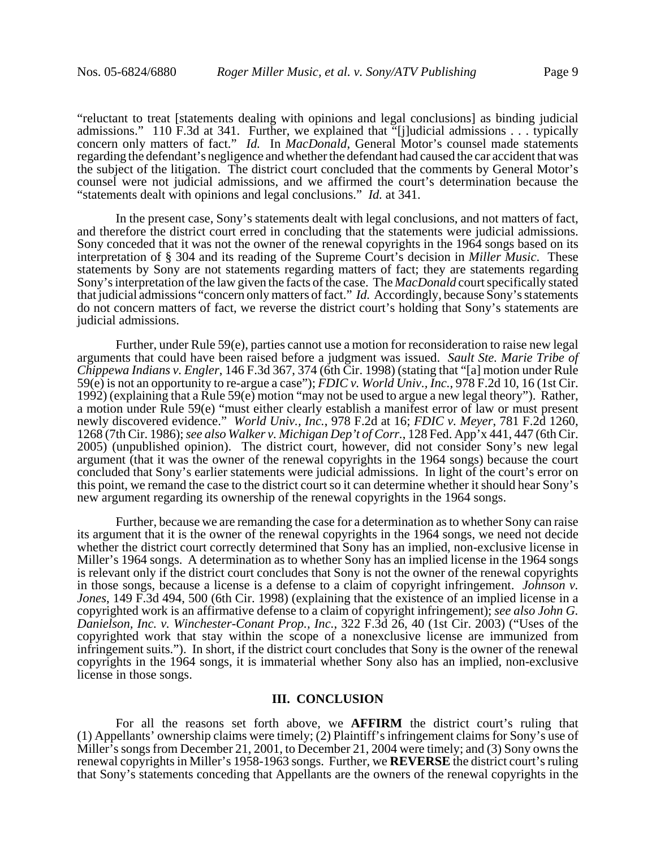"reluctant to treat [statements dealing with opinions and legal conclusions] as binding judicial admissions." 110 F.3d at 341. Further, we explained that "[j]udicial admissions . . . typically concern only matters of fact." *Id.* In *MacDonald*, General Motor's counsel made statements regarding the defendant's negligence and whether the defendant had caused the car accident that was the subject of the litigation. The district court concluded that the comments by General Motor's counsel were not judicial admissions, and we affirmed the court's determination because the "statements dealt with opinions and legal conclusions." *Id.* at 341.

In the present case, Sony's statements dealt with legal conclusions, and not matters of fact, and therefore the district court erred in concluding that the statements were judicial admissions. Sony conceded that it was not the owner of the renewal copyrights in the 1964 songs based on its interpretation of § 304 and its reading of the Supreme Court's decision in *Miller Music*. These statements by Sony are not statements regarding matters of fact; they are statements regarding Sony's interpretation of the law given the facts of the case. The *MacDonald* court specifically stated that judicial admissions "concern only matters of fact." *Id.* Accordingly, because Sony's statements do not concern matters of fact, we reverse the district court's holding that Sony's statements are judicial admissions.

Further, under Rule 59(e), parties cannot use a motion for reconsideration to raise new legal arguments that could have been raised before a judgment was issued. *Sault Ste. Marie Tribe of Chippewa Indians v. Engler*, 146 F.3d 367, 374 (6th Cir. 1998) (stating that "[a] motion under Rule 59(e) is not an opportunity to re-argue a case"); *FDIC v. World Univ., Inc.*, 978 F.2d 10, 16 (1st Cir. 1992) (explaining that a Rule 59(e) motion "may not be used to argue a new legal theory"). Rather, a motion under Rule 59(e) "must either clearly establish a manifest error of law or must present newly discovered evidence." *World Univ., Inc.*, 978 F.2d at 16; *FDIC v. Meyer*, 781 F.2d 1260, 1268 (7th Cir. 1986); *see also Walker v. Michigan Dep't of Corr.*, 128 Fed. App'x 441, 447 (6th Cir. 2005) (unpublished opinion). The district court, however, did not consider Sony's new legal argument (that it was the owner of the renewal copyrights in the 1964 songs) because the court concluded that Sony's earlier statements were judicial admissions. In light of the court's error on this point, we remand the case to the district court so it can determine whether it should hear Sony's new argument regarding its ownership of the renewal copyrights in the 1964 songs.

Further, because we are remanding the case for a determination as to whether Sony can raise its argument that it is the owner of the renewal copyrights in the 1964 songs, we need not decide whether the district court correctly determined that Sony has an implied, non-exclusive license in Miller's 1964 songs. A determination as to whether Sony has an implied license in the 1964 songs is relevant only if the district court concludes that Sony is not the owner of the renewal copyrights in those songs, because a license is a defense to a claim of copyright infringement. *Johnson v. Jones*, 149 F.3d 494, 500 (6th Cir. 1998) (explaining that the existence of an implied license in a copyrighted work is an affirmative defense to a claim of copyright infringement); *see also John G. Danielson, Inc. v. Winchester-Conant Prop., Inc.*, 322 F.3d 26, 40 (1st Cir. 2003) ("Uses of the copyrighted work that stay within the scope of a nonexclusive license are immunized from infringement suits."). In short, if the district court concludes that Sony is the owner of the renewal copyrights in the 1964 songs, it is immaterial whether Sony also has an implied, non-exclusive license in those songs.

#### **III. CONCLUSION**

For all the reasons set forth above, we **AFFIRM** the district court's ruling that (1) Appellants' ownership claims were timely; (2) Plaintiff's infringement claims for Sony's use of Miller's songs from December 21, 2001, to December 21, 2004 were timely; and (3) Sony owns the renewal copyrights in Miller's 1958-1963 songs. Further, we **REVERSE** the district court's ruling that Sony's statements conceding that Appellants are the owners of the renewal copyrights in the